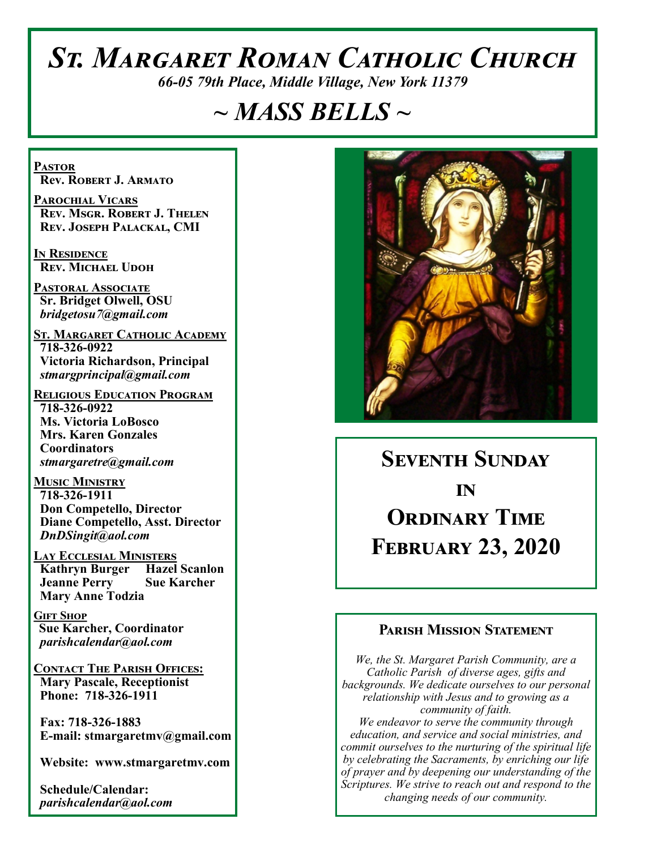# *St. Margaret Roman Catholic Church*

*66-05 79th Place, Middle Village, New York 11379*

## *~ MASS BELLS ~*

**Pastor Rev. Robert J. Armato**

**Parochial Vicars Rev. Msgr. Robert J. Thelen Rev. Joseph Palackal, CMI**

**In Residence Rev. Michael Udoh**

**Pastoral Associate Sr. Bridget Olwell, OSU**  *bridgetosu7@gmail.com*

**St. Margaret Catholic Academy 718-326-0922 Victoria Richardson, Principal**  *stmargprincipal@gmail.com*

**Religious Education Program 718-326-0922 Ms. Victoria LoBosco Mrs. Karen Gonzales Coordinators** *stmargaretre@gmail.com*

**Music Ministry 718-326-1911 Don Competello, Director Diane Competello, Asst. Director** *DnDSingit@aol.com*

**Lay Ecclesial Ministers Kathryn Burger Hazel Scanlon Jeanne Perry Sue Karcher Mary Anne Todzia**

**Gift Shop Sue Karcher, Coordinator** *parishcalendar@aol.com*

**Contact The Parish Offices: Mary Pascale, Receptionist Phone: 718-326-1911** 

 **Fax: 718-326-1883 E-mail: stmargaretmv@gmail.com**

 **Website: www.stmargaretmv.com**

 **Schedule/Calendar:** *parishcalendar@aol.com* 



**Seventh Sunday in Ordinary Time February 23, 2020** 

#### **Parish Mission Statement**

*We, the St. Margaret Parish Community, are a Catholic Parish of diverse ages, gifts and backgrounds. We dedicate ourselves to our personal relationship with Jesus and to growing as a community of faith. We endeavor to serve the community through education, and service and social ministries, and commit ourselves to the nurturing of the spiritual life by celebrating the Sacraments, by enriching our life of prayer and by deepening our understanding of the Scriptures. We strive to reach out and respond to the changing needs of our community.*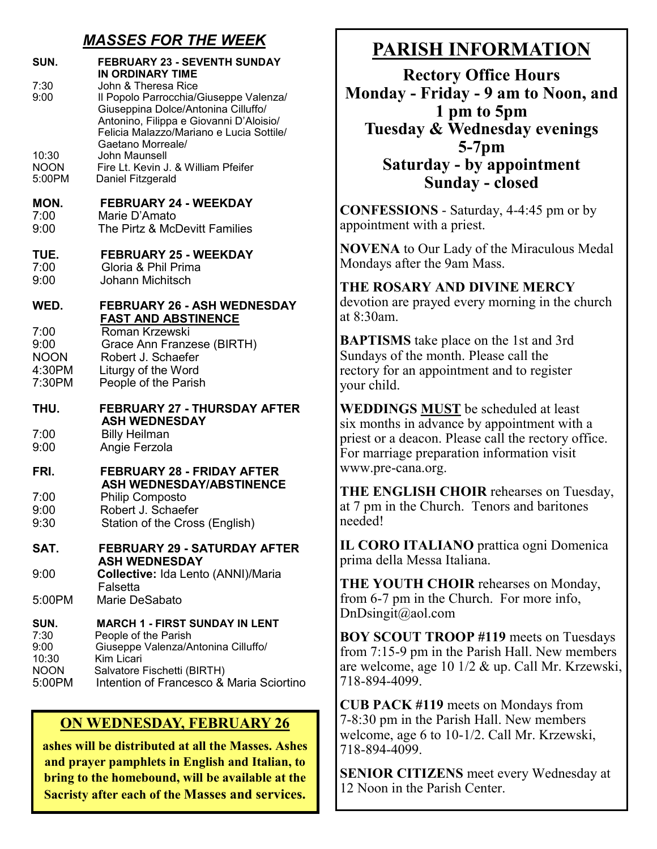## *MASSES FOR THE WEEK*

| SUN.<br>7:30                                           | <b>FEBRUARY 23 - SEVENTH SUNDAY</b><br><b>IN ORDINARY TIME</b><br>John & Theresa Rice                                                                                                         |  |
|--------------------------------------------------------|-----------------------------------------------------------------------------------------------------------------------------------------------------------------------------------------------|--|
| 9:00                                                   | Il Popolo Parrocchia/Giuseppe Valenza/<br>Giuseppina Dolce/Antonina Cilluffo/<br>Antonino, Filippa e Giovanni D'Aloisio/<br>Felicia Malazzo/Mariano e Lucia Sottile/<br>Gaetano Morreale/     |  |
| 10:30<br><b>NOON</b><br>5:00PM                         | John Maunsell<br>Fire Lt. Kevin J. & William Pfeifer<br>Daniel Fitzgerald                                                                                                                     |  |
| MON.<br>7:00<br>9:00                                   | <b>FEBRUARY 24 - WEEKDAY</b><br>Marie D'Amato<br>The Pirtz & McDevitt Families                                                                                                                |  |
| TUE.<br>7:00<br>9:00                                   | <b>FEBRUARY 25 - WEEKDAY</b><br>Gloria & Phil Prima<br><b>Johann Michitsch</b>                                                                                                                |  |
| WED.                                                   | <b>FEBRUARY 26 - ASH WEDNESDAY</b>                                                                                                                                                            |  |
| 7:00<br>9:00<br><b>NOON</b><br>4:30PM<br>7:30PM        | <b>FAST AND ABSTINENCE</b><br>Roman Krzewski<br>Grace Ann Franzese (BIRTH)<br>Robert J. Schaefer<br>Liturgy of the Word<br>People of the Parish                                               |  |
| THU.                                                   | <b>FEBRUARY 27 - THURSDAY AFTER</b><br><b>ASH WEDNESDAY</b>                                                                                                                                   |  |
| 7:00<br>9:00                                           | <b>Billy Heilman</b><br>Angie Ferzola                                                                                                                                                         |  |
| FRI.                                                   | <b>FEBRUARY 28 - FRIDAY AFTER</b><br><b>ASH WEDNESDAY/ABSTINENCE</b>                                                                                                                          |  |
| 7:00<br>9:00<br>9:30                                   | <b>Philip Composto</b><br>Robert J. Schaefer<br>Station of the Cross (English)                                                                                                                |  |
| SAT.                                                   | <b>FEBRUARY 29 - SATURDAY AFTER</b><br><b>ASH WEDNESDAY</b>                                                                                                                                   |  |
| 9:00                                                   | Collective: Ida Lento (ANNI)/Maria                                                                                                                                                            |  |
| 5:00PM                                                 | Falsetta<br>Marie DeSabato                                                                                                                                                                    |  |
| SUN.<br>7:30<br>9:00<br>10:30<br><b>NOON</b><br>5:00PM | <b>MARCH 1 - FIRST SUNDAY IN LENT</b><br>People of the Parish<br>Giuseppe Valenza/Antonina Cilluffo/<br>Kim Licari<br>Salvatore Fischetti (BIRTH)<br>Intention of Francesco & Maria Sciortino |  |

## **ON WEDNESDAY, FEBRUARY 26**

**ashes will be distributed at all the Masses. Ashes and prayer pamphlets in English and Italian, to bring to the homebound, will be available at the Sacristy after each of the Masses and services.** 

## **PARISH INFORMATION**

**Rectory Office Hours Monday - Friday - 9 am to Noon, and 1 pm to 5pm Tuesday & Wednesday evenings 5-7pm Saturday - by appointment Sunday - closed**

**CONFESSIONS** - Saturday, 4-4:45 pm or by appointment with a priest.

**NOVENA** to Our Lady of the Miraculous Medal Mondays after the 9am Mass.

## **THE ROSARY AND DIVINE MERCY**

devotion are prayed every morning in the church at 8:30am.

**BAPTISMS** take place on the 1st and 3rd Sundays of the month. Please call the rectory for an appointment and to register your child.

**WEDDINGS MUST** be scheduled at least six months in advance by appointment with a priest or a deacon. Please call the rectory office. For marriage preparation information visit www.pre-cana.org.

**THE ENGLISH CHOIR** rehearses on Tuesday, at 7 pm in the Church. Tenors and baritones needed!

**IL CORO ITALIANO** prattica ogni Domenica prima della Messa Italiana.

**THE YOUTH CHOIR** rehearses on Monday, from 6-7 pm in the Church. For more info, DnDsingit@aol.com

**BOY SCOUT TROOP #119** meets on Tuesdays from 7:15-9 pm in the Parish Hall. New members are welcome, age 10 1/2 & up. Call Mr. Krzewski, 718-894-4099.

**CUB PACK #119** meets on Mondays from 7-8:30 pm in the Parish Hall. New members welcome, age 6 to 10-1/2. Call Mr. Krzewski, 718-894-4099.

**SENIOR CITIZENS** meet every Wednesday at 12 Noon in the Parish Center.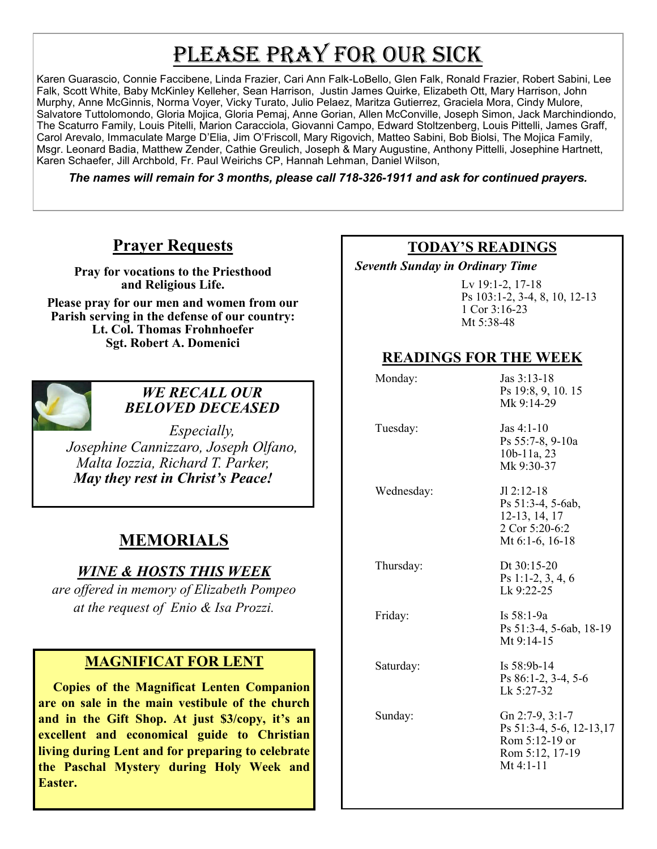# PLEASE PRAY FOR OUR SICK

Karen Guarascio, Connie Faccibene, Linda Frazier, Cari Ann Falk-LoBello, Glen Falk, Ronald Frazier, Robert Sabini, Lee Falk, Scott White, Baby McKinley Kelleher, Sean Harrison, Justin James Quirke, Elizabeth Ott, Mary Harrison, John Murphy, Anne McGinnis, Norma Voyer, Vicky Turato, Julio Pelaez, Maritza Gutierrez, Graciela Mora, Cindy Mulore, Salvatore Tuttolomondo, Gloria Mojica, Gloria Pemaj, Anne Gorian, Allen McConville, Joseph Simon, Jack Marchindiondo, The Scaturro Family, Louis Pitelli, Marion Caracciola, Giovanni Campo, Edward Stoltzenberg, Louis Pittelli, James Graff, Carol Arevalo, Immaculate Marge D'Elia, Jim O'Friscoll, Mary Rigovich, Matteo Sabini, Bob Biolsi, The Mojica Family, Msgr. Leonard Badia, Matthew Zender, Cathie Greulich, Joseph & Mary Augustine, Anthony Pittelli, Josephine Hartnett, Karen Schaefer, Jill Archbold, Fr. Paul Weirichs CP, Hannah Lehman, Daniel Wilson,

*The names will remain for 3 months, please call 718-326-1911 and ask for continued prayers.*

## **Prayer Requests**

**Pray for vocations to the Priesthood and Religious Life.** 

**Please pray for our men and women from our Parish serving in the defense of our country: Lt. Col. Thomas Frohnhoefer Sgt. Robert A. Domenici** 



#### *WE RECALL OUR BELOVED DECEASED*

*Especially, Josephine Cannizzaro, Joseph Olfano, Malta Iozzia, Richard T. Parker, May they rest in Christ's Peace!*

## **MEMORIALS**

#### *WINE & HOSTS THIS WEEK*

*are offered in memory of Elizabeth Pompeo at the request of Enio & Isa Prozzi.* 

#### **MAGNIFICAT FOR LENT**

 **Copies of the Magnificat Lenten Companion are on sale in the main vestibule of the church and in the Gift Shop. At just \$3/copy, it's an excellent and economical guide to Christian living during Lent and for preparing to celebrate the Paschal Mystery during Holy Week and Easter.** 

#### **TODAY'S READINGS**

 *Seventh Sunday in Ordinary Time* 

Lv 19:1-2, 17-18 Ps 103:1-2, 3-4, 8, 10, 12-13 1 Cor 3:16-23 Mt 5:38-48

#### **READINGS FOR THE WEEK**

| Monday:    | Jas 3:13-18<br>Ps 19:8, 9, 10.15<br>Mk 9:14-29                                                  |
|------------|-------------------------------------------------------------------------------------------------|
| Tuesday:   | $\text{Las } 4:1-10$<br>Ps 55:7-8, 9-10a<br>$10b-11a, 23$<br>Mk 9:30-37                         |
| Wednesday: | $JI 2:12-18$<br>Ps 51:3-4, 5-6ab,<br>12-13, 14, 17<br>2 Cor 5:20-6:2<br>Mt 6:1-6, 16-18         |
| Thursday:  | Dt 30:15-20<br>Ps 1:1-2, 3, 4, 6<br>Lk 9:22-25                                                  |
| Friday:    | Is 58:1-9a<br>Ps 51:3-4, 5-6ab, 18-19<br>Mt $9:14-15$                                           |
| Saturday:  | Is $58:9b-14$<br>Ps 86:1-2, 3-4, 5-6<br>Lk 5:27-32                                              |
| Sunday:    | Gn 2:7-9, 3:1-7<br>Ps 51:3-4, 5-6, 12-13,17<br>Rom 5:12-19 or<br>Rom 5:12, 17-19<br>Mt $4:1-11$ |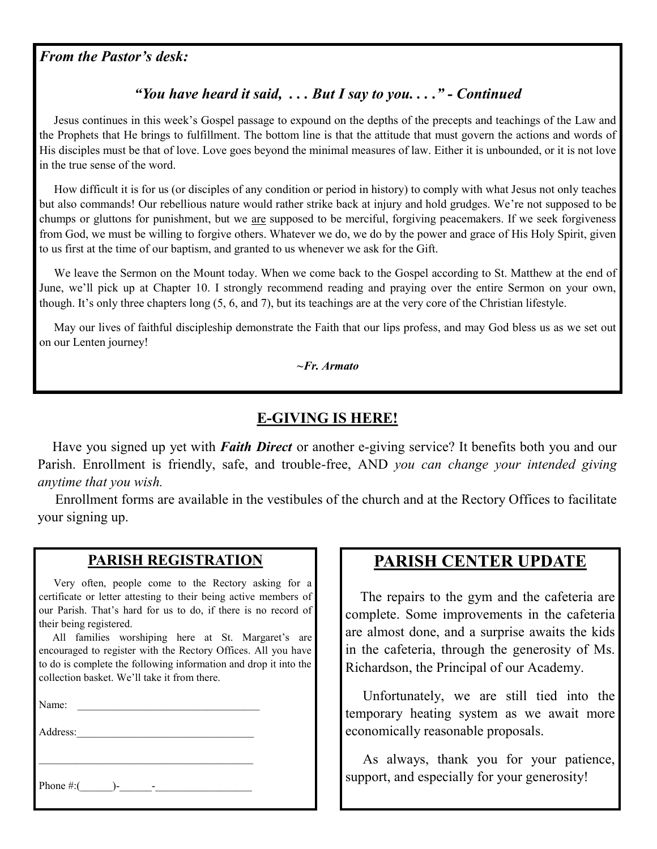#### *From the Pastor's desk:*

#### *"You have heard it said, . . . But I say to you. . . ." - Continued*

 Jesus continues in this week's Gospel passage to expound on the depths of the precepts and teachings of the Law and the Prophets that He brings to fulfillment. The bottom line is that the attitude that must govern the actions and words of His disciples must be that of love. Love goes beyond the minimal measures of law. Either it is unbounded, or it is not love in the true sense of the word.

 How difficult it is for us (or disciples of any condition or period in history) to comply with what Jesus not only teaches but also commands! Our rebellious nature would rather strike back at injury and hold grudges. We're not supposed to be chumps or gluttons for punishment, but we are supposed to be merciful, forgiving peacemakers. If we seek forgiveness from God, we must be willing to forgive others. Whatever we do, we do by the power and grace of His Holy Spirit, given to us first at the time of our baptism, and granted to us whenever we ask for the Gift.

 We leave the Sermon on the Mount today. When we come back to the Gospel according to St. Matthew at the end of June, we'll pick up at Chapter 10. I strongly recommend reading and praying over the entire Sermon on your own, though. It's only three chapters long (5, 6, and 7), but its teachings are at the very core of the Christian lifestyle.

 May our lives of faithful discipleship demonstrate the Faith that our lips profess, and may God bless us as we set out on our Lenten journey!

*~Fr. Armato*

#### **E-GIVING IS HERE!**

 Have you signed up yet with *Faith Direct* or another e-giving service? It benefits both you and our Parish. Enrollment is friendly, safe, and trouble-free, AND *you can change your intended giving anytime that you wish.*

 Enrollment forms are available in the vestibules of the church and at the Rectory Offices to facilitate your signing up.

#### **PARISH REGISTRATION**

 Very often, people come to the Rectory asking for a certificate or letter attesting to their being active members of our Parish. That's hard for us to do, if there is no record of their being registered.

 All families worshiping here at St. Margaret's are encouraged to register with the Rectory Offices. All you have to do is complete the following information and drop it into the collection basket. We'll take it from there.

\_\_\_\_\_\_\_\_\_\_\_\_\_\_\_\_\_\_\_\_\_\_\_\_\_\_\_\_\_\_\_\_\_\_\_\_\_\_\_\_

Name:

Address:

Phone  $\#$ :( )-

## **PARISH CENTER UPDATE**

 The repairs to the gym and the cafeteria are complete. Some improvements in the cafeteria are almost done, and a surprise awaits the kids in the cafeteria, through the generosity of Ms. Richardson, the Principal of our Academy.

 Unfortunately, we are still tied into the temporary heating system as we await more economically reasonable proposals.

 As always, thank you for your patience, support, and especially for your generosity!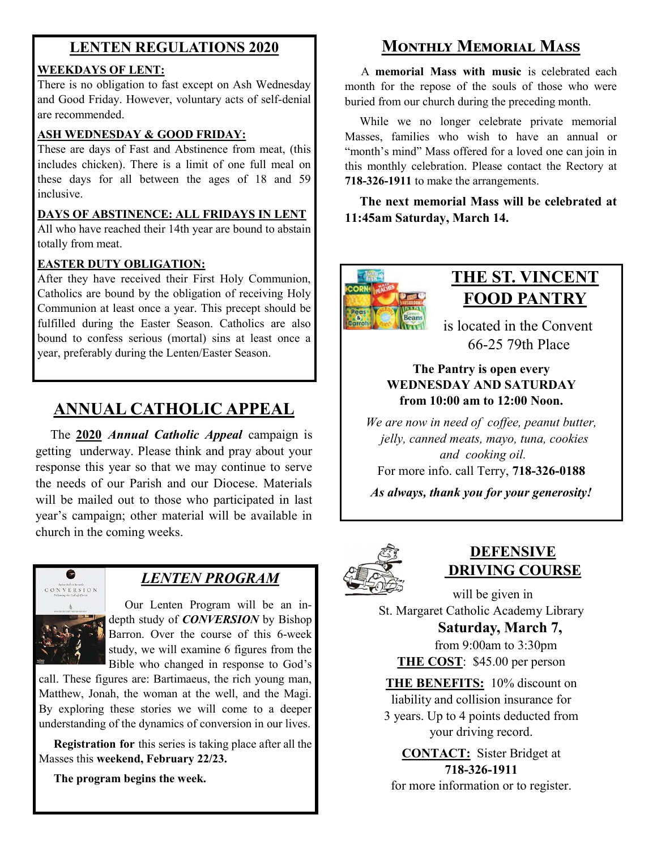### **LENTEN REGULATIONS 2020**

#### **WEEKDAYS OF LENT:**

There is no obligation to fast except on Ash Wednesday and Good Friday. However, voluntary acts of self-denial are recommended.

#### **ASH WEDNESDAY & GOOD FRIDAY:**

These are days of Fast and Abstinence from meat, (this includes chicken). There is a limit of one full meal on these days for all between the ages of 18 and 59 inclusive.

#### **DAYS OF ABSTINENCE: ALL FRIDAYS IN LENT**

All who have reached their 14th year are bound to abstain totally from meat.

#### **EASTER DUTY OBLIGATION:**

After they have received their First Holy Communion, Catholics are bound by the obligation of receiving Holy Communion at least once a year. This precept should be fulfilled during the Easter Season. Catholics are also bound to confess serious (mortal) sins at least once a year, preferably during the Lenten/Easter Season.

## **ANNUAL CATHOLIC APPEAL**

 The **2020** *Annual Catholic Appeal* campaign is getting underway. Please think and pray about your response this year so that we may continue to serve the needs of our Parish and our Diocese. Materials will be mailed out to those who participated in last year's campaign; other material will be available in church in the coming weeks.



#### *LENTEN PROGRAM*

 Our Lenten Program will be an indepth study of **CONVERSION** by Bishop Barron. Over the course of this 6-week study, we will examine 6 figures from the Bible who changed in response to God's

call. These figures are: Bartimaeus, the rich young man, Matthew, Jonah, the woman at the well, and the Magi. By exploring these stories we will come to a deeper understanding of the dynamics of conversion in our lives.

 **Registration for** this series is taking place after all the Masses this **weekend, February 22/23.**

 **The program begins the week.**

## **Monthly Memorial Mass**

 A **memorial Mass with music** is celebrated each month for the repose of the souls of those who were buried from our church during the preceding month.

 While we no longer celebrate private memorial Masses, families who wish to have an annual or "month's mind" Mass offered for a loved one can join in this monthly celebration. Please contact the Rectory at **718-326-1911** to make the arrangements.

 **The next memorial Mass will be celebrated at 11:45am Saturday, March 14.** 



## **THE ST. VINCENT FOOD PANTRY**

 is located in the Convent 66-25 79th Place

#### **The Pantry is open every WEDNESDAY AND SATURDAY from 10:00 am to 12:00 Noon.**

*We are now in need of coffee, peanut butter, jelly, canned meats, mayo, tuna, cookies and cooking oil.* 

For more info. call Terry, **718-326-0188**

*As always, thank you for your generosity!*



## **DEFENSIVE DRIVING COURSE**

 will be given in St. Margaret Catholic Academy Library

 **Saturday, March 7,** from 9:00am to 3:30pm **THE COST**: \$45.00 per person

**THE BENEFITS:** 10% discount on liability and collision insurance for 3 years. Up to 4 points deducted from your driving record.

**CONTACT:** Sister Bridget at **718-326-1911** for more information or to register.